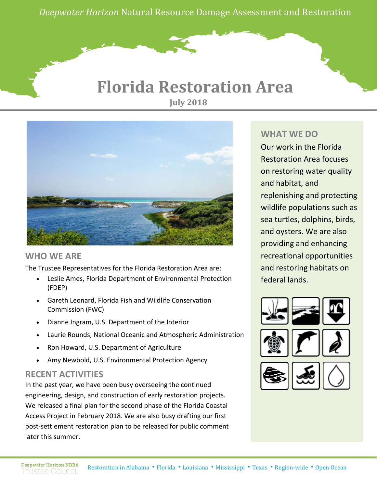*Deepwater Horizon* Natural Resource Damage Assessment and Restoration

### **Florida Restoration Area July 2018**



#### **WHO WE ARE**

The Trustee Representatives for the Florida Restoration Area are:

- Leslie Ames, Florida Department of Environmental Protection (FDEP)
- Gareth Leonard, Florida Fish and Wildlife Conservation Commission (FWC)
- Dianne Ingram, U.S. Department of the Interior
- Laurie Rounds, National Oceanic and Atmospheric Administration
- Ron Howard, U.S. Department of Agriculture
- Amy Newbold, U.S. Environmental Protection Agency

#### **RECENT ACTIVITIES**

In the past year, we have been busy overseeing the continued engineering, design, and construction of early restoration projects. We released a final plan for the second phase of the Florida Coastal Access Project in February 2018. We are also busy drafting our first post-settlement restoration plan to be released for public comment later this summer.

#### **WHAT WE DO**

Our work in the Florida Restoration Area focuses on restoring water quality and habitat, and replenishing and protecting wildlife populations such as sea turtles, dolphins, birds, and oysters. We are also providing and enhancing recreational opportunities and restoring habitats on federal lands.

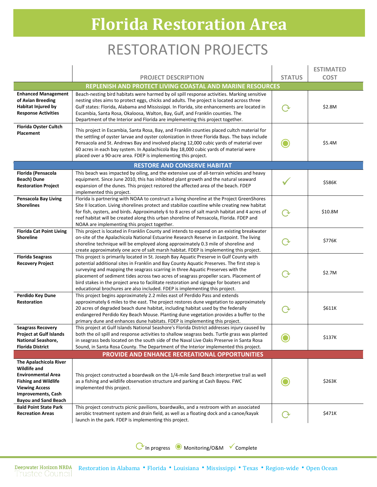# **Florida Restoration Area**

## RESTORATION PROJECTS

|                                                                                                                                                                                         |                                                                                                                                                                                                                                                                                                                                                                                                                                                                                                                                             |               | <b>ESTIMATED</b> |  |  |
|-----------------------------------------------------------------------------------------------------------------------------------------------------------------------------------------|---------------------------------------------------------------------------------------------------------------------------------------------------------------------------------------------------------------------------------------------------------------------------------------------------------------------------------------------------------------------------------------------------------------------------------------------------------------------------------------------------------------------------------------------|---------------|------------------|--|--|
|                                                                                                                                                                                         | <b>PROJECT DESCRIPTION</b>                                                                                                                                                                                                                                                                                                                                                                                                                                                                                                                  | <b>STATUS</b> | <b>COST</b>      |  |  |
|                                                                                                                                                                                         | REPLENISH AND PROTECT LIVING COASTAL AND MARINE RESOURCES                                                                                                                                                                                                                                                                                                                                                                                                                                                                                   |               |                  |  |  |
| <b>Enhanced Management</b><br>of Avian Breeding<br>Habitat Injured by<br><b>Response Activities</b>                                                                                     | Beach-nesting bird habitats were harmed by oil spill response activities. Marking sensitive<br>nesting sites aims to protect eggs, chicks and adults. The project is located across three<br>Gulf states: Florida, Alabama and Mississippi. In Florida, site enhancements are located in<br>Escambia, Santa Rosa, Okaloosa, Walton, Bay, Gulf, and Franklin counties. The<br>Department of the Interior and Florida are implementing this project together.                                                                                 | િ ર           | \$2.8M           |  |  |
| <b>Florida Oyster Cultch</b><br>Placement                                                                                                                                               | This project in Escambia, Santa Rosa, Bay, and Franklin counties placed cultch material for<br>the settling of oyster larvae and oyster colonization in three Florida Bays. The bays include<br>Pensacola and St. Andrews Bay and involved placing 12,000 cubic yards of material over<br>60 acres in each bay system. In Apalachicola Bay 18,000 cubic yards of material were<br>placed over a 90-acre area. FDEP is implementing this project.                                                                                            |               | \$5.4M           |  |  |
|                                                                                                                                                                                         | <b>RESTORE AND CONSERVE HABITAT</b>                                                                                                                                                                                                                                                                                                                                                                                                                                                                                                         |               |                  |  |  |
| Florida (Pensacola<br><b>Beach) Dune</b><br><b>Restoration Project</b>                                                                                                                  | This beach was impacted by oiling, and the extensive use of all-terrain vehicles and heavy<br>equipment. Since June 2010, this has inhibited plant growth and the natural seaward<br>expansion of the dunes. This project restored the affected area of the beach. FDEP<br>implemented this project.                                                                                                                                                                                                                                        |               | \$586K           |  |  |
| <b>Pensacola Bay Living</b><br><b>Shorelines</b>                                                                                                                                        | Florida is partnering with NOAA to construct a living shoreline at the Project GreenShores<br>Site II location. Living shorelines protect and stabilize coastline while creating new habitat<br>for fish, oysters, and birds. Approximately 6 to 8 acres of salt marsh habitat and 4 acres of<br>reef habitat will be created along this urban shoreline of Pensacola, Florida. FDEP and<br>NOAA are implementing this project together.                                                                                                    |               | \$10.8M          |  |  |
| <b>Florida Cat Point Living</b><br><b>Shoreline</b>                                                                                                                                     | This project is located in Franklin County and intends to expand on an existing breakwater<br>on-site of the Apalachicola National Estuarine Research Reserve in Eastpoint. The living<br>shoreline technique will be employed along approximately 0.3 mile of shoreline and<br>create approximately one acre of salt marsh habitat. FDEP is implementing this project.                                                                                                                                                                     | ( -)          | \$776K           |  |  |
| <b>Florida Seagrass</b><br><b>Recovery Project</b>                                                                                                                                      | This project is primarily located in St. Joseph Bay Aquatic Preserve in Gulf County with<br>potential additional sites in Franklin and Bay County Aquatic Preserves. The first step is<br>surveying and mapping the seagrass scarring in three Aquatic Preserves with the<br>placement of sediment tides across two acres of seagrass propeller scars. Placement of<br>bird stakes in the project area to facilitate restoration and signage for boaters and<br>educational brochures are also included. FDEP is implementing this project. | (→            | \$2.7M           |  |  |
| Perdido Key Dune<br>Restoration                                                                                                                                                         | This project begins approximately 2.2 miles east of Perdido Pass and extends<br>approximately 6 miles to the east. The project restores dune vegetation to approximately<br>20 acres of degraded beach dune habitat, including habitat used by the federally<br>endangered Perdido Key Beach Mouse. Planting dune vegetation provides a buffer to the<br>primary dune and enhances dune habitats. FDEP is implementing this project.                                                                                                        | ে ১           | \$611K           |  |  |
| <b>Seagrass Recovery</b><br><b>Project at Gulf Islands</b><br>National Seashore,<br>Florida District                                                                                    | This project at Gulf Islands National Seashore's Florida District addresses injury caused by<br>both the oil spill and response activities to shallow seagrass beds. Turtle grass was planted<br>in seagrass beds located on the south side of the Naval Live Oaks Preserve in Santa Rosa<br>Sound, in Santa Rosa County. The Department of the Interior implemented this project.                                                                                                                                                          |               | \$137K           |  |  |
| <b>PROVIDE AND ENHANCE RECREATIONAL OPPORTUNITIES</b>                                                                                                                                   |                                                                                                                                                                                                                                                                                                                                                                                                                                                                                                                                             |               |                  |  |  |
| The Apalachicola River<br>Wildlife and<br><b>Environmental Area</b><br><b>Fishing and Wildlife</b><br><b>Viewing Access</b><br><b>Improvements, Cash</b><br><b>Bayou and Sand Beach</b> | This project constructed a boardwalk on the 1/4-mile Sand Beach interpretive trail as well<br>as a fishing and wildlife observation structure and parking at Cash Bayou. FWC<br>implemented this project.                                                                                                                                                                                                                                                                                                                                   |               | \$263K           |  |  |
| <b>Bald Point State Park</b><br><b>Recreation Areas</b>                                                                                                                                 | This project constructs picnic pavilions, boardwalks, and a restroom with an associated<br>aerobic treatment system and drain field, as well as a floating dock and a canoe/kayak<br>launch in the park. FDEP is implementing this project.                                                                                                                                                                                                                                                                                                 |               | \$471K           |  |  |

⟳In progress ◉ Monitoring/O&M Complete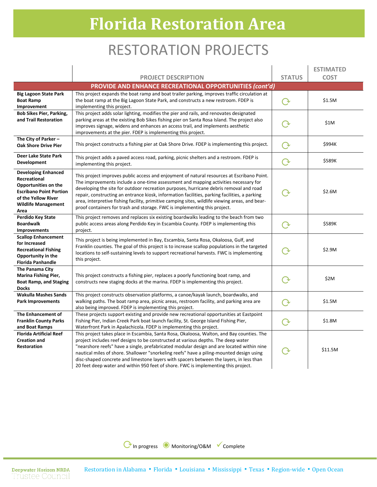# **Florida Restoration Area**

### RESTORATION PROJECTS

|                                                                                                                                                                   |                                                                                                                                                                                                                                                                                                                                                                                                                                                                                                                                                              |                   | <b>ESTIMATED</b> |  |  |
|-------------------------------------------------------------------------------------------------------------------------------------------------------------------|--------------------------------------------------------------------------------------------------------------------------------------------------------------------------------------------------------------------------------------------------------------------------------------------------------------------------------------------------------------------------------------------------------------------------------------------------------------------------------------------------------------------------------------------------------------|-------------------|------------------|--|--|
|                                                                                                                                                                   | <b>PROJECT DESCRIPTION</b>                                                                                                                                                                                                                                                                                                                                                                                                                                                                                                                                   | <b>STATUS</b>     | <b>COST</b>      |  |  |
| PROVIDE AND ENHANCE RECREATIONAL OPPORTUNITIES (cont'd)                                                                                                           |                                                                                                                                                                                                                                                                                                                                                                                                                                                                                                                                                              |                   |                  |  |  |
| <b>Big Lagoon State Park</b><br><b>Boat Ramp</b><br>Improvement                                                                                                   | This project expands the boat ramp and boat trailer parking, improves traffic circulation at<br>the boat ramp at the Big Lagoon State Park, and constructs a new restroom. FDEP is<br>implementing this project.                                                                                                                                                                                                                                                                                                                                             | $\Omega$          | \$1.5M           |  |  |
| <b>Bob Sikes Pier, Parking,</b><br>and Trail Restoration                                                                                                          | This project adds solar lighting, modifies the pier and rails, and renovates designated<br>parking areas at the existing Bob Sikes fishing pier on Santa Rosa Island. The project also<br>improves signage, widens and enhances an access trail, and implements aesthetic<br>improvements at the pier. FDEP is implementing this project.                                                                                                                                                                                                                    | (→                | \$1M             |  |  |
| The City of Parker $-$<br><b>Oak Shore Drive Pier</b>                                                                                                             | This project constructs a fishing pier at Oak Shore Drive. FDEP is implementing this project.                                                                                                                                                                                                                                                                                                                                                                                                                                                                | $\rm{C}$          | \$994K           |  |  |
| Deer Lake State Park<br>Development                                                                                                                               | This project adds a paved access road, parking, picnic shelters and a restroom. FDEP is<br>implementing this project.                                                                                                                                                                                                                                                                                                                                                                                                                                        | $\mathbf{\Omega}$ | \$589K           |  |  |
| <b>Developing Enhanced</b><br>Recreational<br>Opportunities on the<br><b>Escribano Point Portion</b><br>of the Yellow River<br><b>Wildlife Management</b><br>Area | This project improves public access and enjoyment of natural resources at Escribano Point.<br>The improvements include a one-time assessment and mapping activities necessary for<br>developing the site for outdoor recreation purposes, hurricane debris removal and road<br>repair, constructing an entrance kiosk, information facilities, parking facilities, a parking<br>area, interpretive fishing facility, primitive camping sites, wildlife viewing areas, and bear-<br>proof containers for trash and storage. FWC is implementing this project. |                   | \$2.6M           |  |  |
| <b>Perdido Key State</b><br><b>Boardwalk</b><br><b>Improvements</b>                                                                                               | This project removes and replaces six existing boardwalks leading to the beach from two<br>public access areas along Perdido Key in Escambia County. FDEP is implementing this<br>project.                                                                                                                                                                                                                                                                                                                                                                   | $\rm{C}$          | \$589K           |  |  |
| <b>Scallop Enhancement</b><br>for Increased<br><b>Recreational Fishing</b><br>Opportunity in the<br><b>Florida Panhandle</b>                                      | This project is being implemented in Bay, Escambia, Santa Rosa, Okaloosa, Gulf, and<br>Franklin counties. The goal of this project is to increase scallop populations in the targeted<br>locations to self-sustaining levels to support recreational harvests. FWC is implementing<br>this project.                                                                                                                                                                                                                                                          |                   | \$2.9M           |  |  |
| The Panama City<br><b>Marina Fishing Pier,</b><br><b>Boat Ramp, and Staging</b><br><b>Docks</b>                                                                   | This project constructs a fishing pier, replaces a poorly functioning boat ramp, and<br>constructs new staging docks at the marina. FDEP is implementing this project.                                                                                                                                                                                                                                                                                                                                                                                       | ( →               | \$2M             |  |  |
| <b>Wakulla Mashes Sands</b><br><b>Park Improvements</b>                                                                                                           | This project constructs observation platforms, a canoe/kayak launch, boardwalks, and<br>walking paths. The boat ramp area, picnic areas, restroom facility, and parking area are<br>also being improved. FDEP is implementing this project.                                                                                                                                                                                                                                                                                                                  | $\Omega$          | \$1.5M           |  |  |
| The Enhancement of<br><b>Franklin County Parks</b><br>and Boat Ramps                                                                                              | These projects support existing and provide new recreational opportunities at Eastpoint<br>Fishing Pier, Indian Creek Park boat launch facility, St. George Island Fishing Pier,<br>Waterfront Park in Apalachicola. FDEP is implementing this project.                                                                                                                                                                                                                                                                                                      | $\Omega$          | \$1.8M           |  |  |
| <b>Florida Artificial Reef</b><br><b>Creation and</b><br><b>Restoration</b>                                                                                       | This project takes place in Escambia, Santa Rosa, Okaloosa, Walton, and Bay counties. The<br>project includes reef designs to be constructed at various depths. The deep water<br>"nearshore reefs" have a single, prefabricated modular design and are located within nine<br>nautical miles of shore. Shallower "snorkeling reefs" have a piling-mounted design using<br>disc-shaped concrete and limestone layers with spacers between the layers, in less than<br>20 feet deep water and within 950 feet of shore. FWC is implementing this project.     | (→                | \$11.5M          |  |  |

⟳In progress ◉ Monitoring/O&M Complete